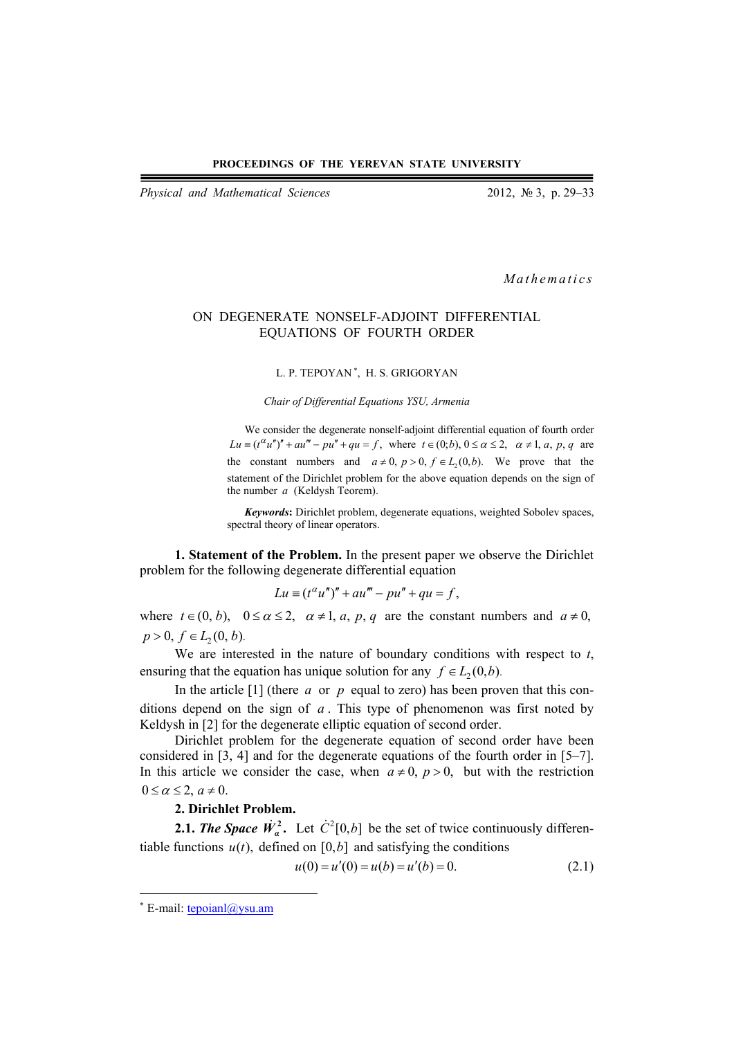*Physical and Mathematical Sciences* 2012, № 3, p. 29–33

*Mathematics* 

# ON DEGENERATE NONSELF-ADJOINT DIFFERENTIAL EQUATIONS OF FOURTH ORDER

### L. P. TEPOYAN<sup>\*</sup>, H. S. GRIGORYAN

*Chair of Differential Equations YSU, Armenia* 

We consider the degenerate nonself-adjoint differential equation of fourth order  $Lu \equiv (t^{\alpha} u'')'' + au''' - pu'' + qu = f$ , where  $t \in (0,b)$ ,  $0 \le \alpha \le 2$ ,  $\alpha \ne 1$ , a, p, q are the constant numbers and  $a \neq 0$ ,  $p > 0$ ,  $f \in L_2(0, b)$ . We prove that the statement of the Dirichlet problem for the above equation depends on the sign of the number *a* (Keldysh Teorem).

*Keywords***:** Dirichlet problem, degenerate equations, weighted Sobolev spaces, spectral theory of linear operators.

**1. Statement of the Problem.** In the present paper we observe the Dirichlet problem for the following degenerate differential equation

$$
Lu \equiv (t^{\alpha}u'')'' + au''' - pu'' + qu = f,
$$

where  $t \in (0, b)$ ,  $0 \le \alpha \le 2$ ,  $\alpha \ne 1$ , a, p, q are the constant numbers and  $a \ne 0$ ,  $p > 0, f \in L_2(0, b).$ 

We are interested in the nature of boundary conditions with respect to *t*, ensuring that the equation has unique solution for any  $f \in L_2(0,b)$ .

In the article  $[1]$  (there *a* or *p* equal to zero) has been proven that this conditions depend on the sign of *a* . This type of phenomenon was first noted by Keldysh in [2] for the degenerate elliptic equation of second order.

Dirichlet problem for the degenerate equation of second order have been considered in [3, 4] and for the degenerate equations of the fourth order in [5–7]. In this article we consider the case, when  $a \neq 0$ ,  $p > 0$ , but with the restriction  $0 \le \alpha \le 2$ ,  $a \ne 0$ .

# **2. Dirichlet Problem.**

**2.1.** *The Space*  $\dot{W}_a^2$ . Let  $\dot{C}^2[0,b]$  be the set of twice continuously differentiable functions  $u(t)$ , defined on [0, b] and satisfying the conditions

$$
u(0) = u'(0) = u(b) = u'(b) = 0.
$$
\n(2.1)

 $*$  E-mail: tepoianl@ysu.am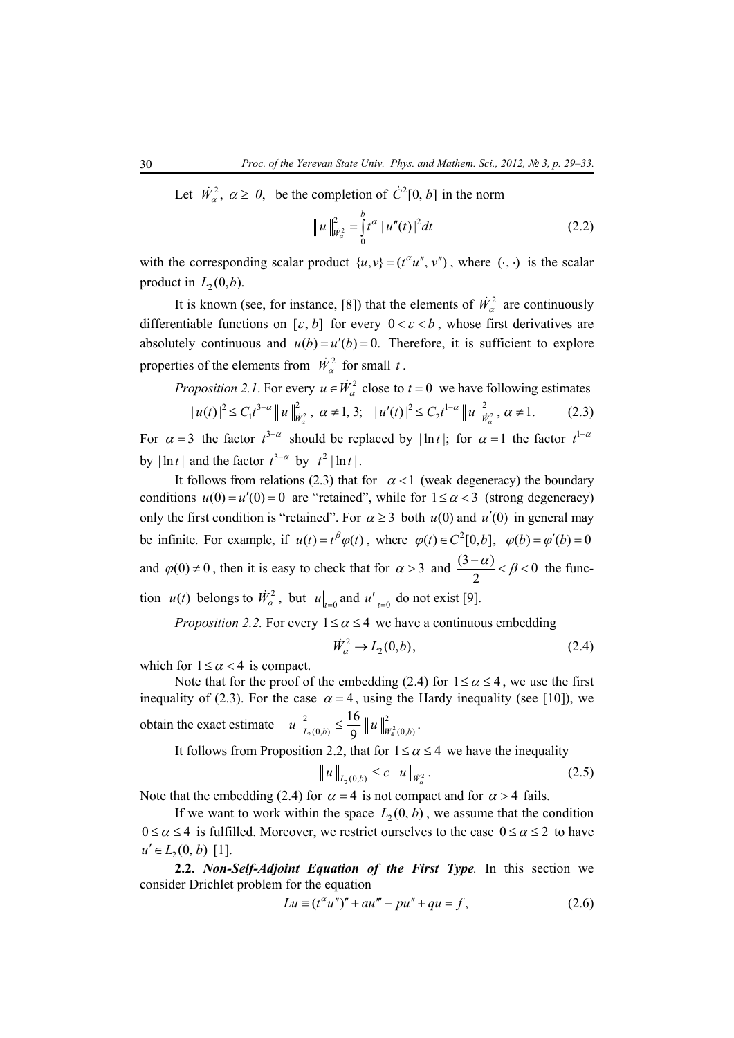Let  $\dot{W}_\alpha^2$ ,  $\alpha \ge 0$ , be the completion of  $\dot{C}^2[0, b]$  in the norm

$$
\|u\|_{\dot{W}^2_{\alpha}}^2 = \int_0^b t^{\alpha} |u''(t)|^2 dt \qquad (2.2)
$$

with the corresponding scalar product  $\{u, v\} = (t^{\alpha}u^{\alpha}, v^{\alpha})$ , where  $(\cdot, \cdot)$  is the scalar product in  $L_2(0,b)$ .

It is known (see, for instance, [8]) that the elements of  $\dot{W}_\alpha^2$  are continuously differentiable functions on  $[\varepsilon, b]$  for every  $0 < \varepsilon < b$ , whose first derivatives are absolutely continuous and  $u(b) = u'(b) = 0$ . Therefore, it is sufficient to explore properties of the elements from  $\dot{W}_\alpha^2$  for small *t*.

*Proposition 2.1*. For every  $u \in \dot{W}_\alpha^2$  close to  $t = 0$  we have following estimates

$$
|u(t)|^2 \le C_1 t^{3-\alpha} \|u\|_{\dot{W}_\alpha^2}^2, \ \alpha \ne 1, 3; \quad |u'(t)|^2 \le C_2 t^{1-\alpha} \|u\|_{\dot{W}_\alpha^2}^2, \ \alpha \ne 1. \tag{2.3}
$$

For  $\alpha = 3$  the factor  $t^{3-\alpha}$  should be replaced by  $|\ln t|$ ; for  $\alpha = 1$  the factor  $t^{1-\alpha}$ by  $|\ln t|$  and the factor  $t^{3-\alpha}$  by  $t^2 |\ln t|$ .

It follows from relations (2.3) that for  $\alpha < 1$  (weak degeneracy) the boundary conditions  $u(0) = u'(0) = 0$  are "retained", while for  $1 \le \alpha < 3$  (strong degeneracy) only the first condition is "retained". For  $\alpha \ge 3$  both  $u(0)$  and  $u'(0)$  in general may be infinite. For example, if  $u(t) = t^{\beta} \varphi(t)$ , where  $\varphi(t) \in C^2[0, b]$ ,  $\varphi(b) = \varphi'(b) = 0$ and  $\varphi(0) \neq 0$ , then it is easy to check that for  $\alpha > 3$  and  $\frac{(3-\alpha)}{2} < \beta < 0$ 2  $\frac{(-\alpha)}{2} < \beta < 0$  the function  $u(t)$  belongs to  $\dot{W}_\alpha^2$ , but  $u|_{t=0}$  and  $u'|_{t=0}$  do not exist [9].

*Proposition 2.2.* For every  $1 \le \alpha \le 4$  we have a continuous embedding

$$
\dot{W}_\alpha^2 \to L_2(0, b),\tag{2.4}
$$

which for  $1 \le \alpha < 4$  is compact.

Note that for the proof of the embedding (2.4) for  $1 \le \alpha \le 4$ , we use the first inequality of (2.3). For the case  $\alpha = 4$ , using the Hardy inequality (see [10]), we obtain the exact estimate  $||u||_{L_2(0,b)}^2 \le \frac{16}{9} ||u||_{W_4^2}^2$  $\|u\|_{L_2(0,b)}^2 \leq \frac{16}{9} \|u\|_{W_4^2(0,b)}^2.$ 

It follows from Proposition 2.2, that for  $1 \le \alpha \le 4$  we have the inequality

$$
\|u\|_{L_2(0,b)} \le c \|u\|_{\dot{W}_a^2}.
$$
 (2.5)

Note that the embedding (2.4) for  $\alpha = 4$  is not compact and for  $\alpha > 4$  fails.

If we want to work within the space  $L_2(0, b)$ , we assume that the condition  $0 \le \alpha \le 4$  is fulfilled. Moreover, we restrict ourselves to the case  $0 \le \alpha \le 2$  to have  $u' \in L_2(0, b)$  [1].

**2.2.** *Non-Self-Adjoint Equation of the First Type.* In this section we consider Drichlet problem for the equation

$$
Lu = (t^{\alpha}u'')'' + au''' - pu'' + qu = f,
$$
 (2.6)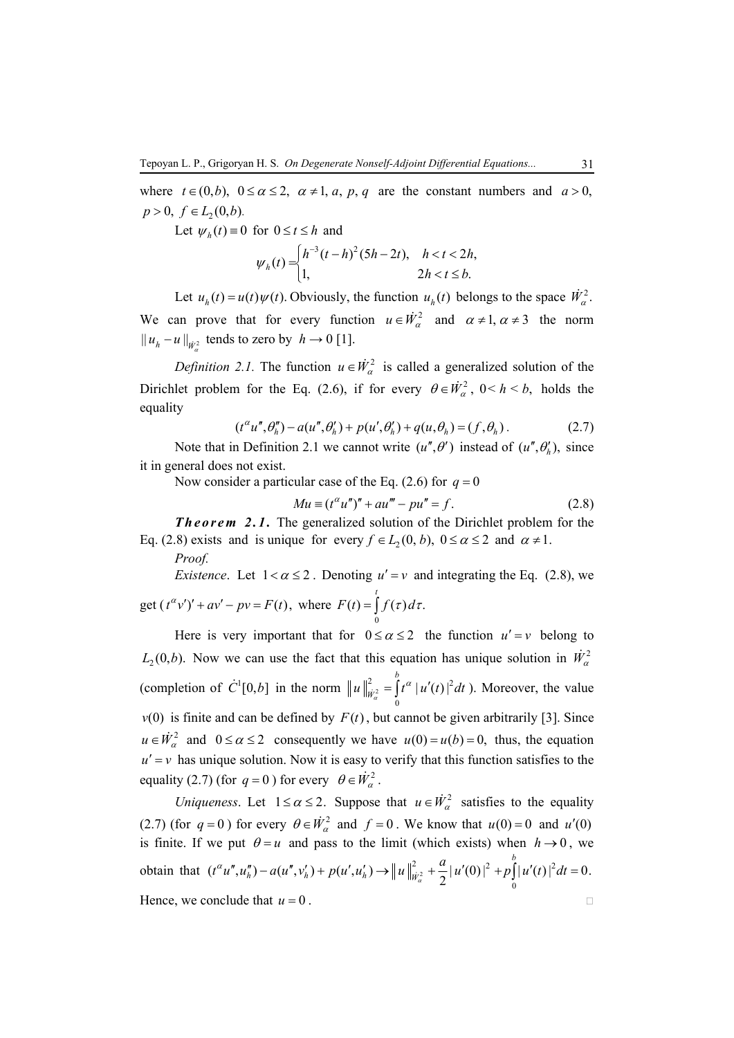where  $t \in (0, b)$ ,  $0 \le \alpha \le 2$ ,  $\alpha \ne 1$ , a, p, q are the constant numbers and  $a > 0$ ,  $p > 0$ ,  $f \in L_2(0,b)$ .

Let  $\psi_h(t) = 0$  for  $0 \le t \le h$  and

$$
\psi_h(t) = \begin{cases} h^{-3}(t-h)^2(5h-2t), & h < t < 2h, \\ 1, & 2h < t \leq b. \end{cases}
$$

Let  $u_h(t) = u(t) \psi(t)$ . Obviously, the function  $u_h(t)$  belongs to the space  $\dot{W}_\alpha^2$ . We can prove that for every function  $u \in \dot{W}_\alpha^2$  and  $\alpha \neq 1, \alpha \neq 3$  the norm  $||u_h - u||_{\dot{W}^2}$  tends to zero by  $h \to 0$  [1].

*Definition 2.1.* The function  $u \in \dot{W}^2$  is called a generalized solution of the Dirichlet problem for the Eq. (2.6), if for every  $\theta \in \dot{W}_\alpha^2$ ,  $0 \le h \le b$ , holds the equality

$$
(t^{\alpha}u'', \theta''_h) - a(u'', \theta'_h) + p(u', \theta'_h) + q(u, \theta_h) = (f, \theta_h).
$$
 (2.7)

Note that in Definition 2.1 we cannot write  $(u'', \theta')$  instead of  $(u'', \theta'_h)$ , since it in general does not exist.

Now consider a particular case of the Eq. (2.6) for  $q = 0$ 

$$
Mu \equiv (t^{\alpha}u'')'' + au''' - pu'' = f.
$$
 (2.8)

*Theorem 2.1.* The generalized solution of the Dirichlet problem for the Eq. (2.8) exists and is unique for every  $f \in L_2(0, b)$ ,  $0 \le \alpha \le 2$  and  $\alpha \ne 1$ .

*Proof.* 

*Existence*. Let  $1 < \alpha \leq 2$ . Denoting  $u' = v$  and integrating the Eq. (2.8), we get  $(t^{\alpha}v')' + av' - pv = F(t)$ , where  $(t) = \int f(\tau) d\tau.$ *t*  $F(t) = \int f(\tau) d\tau.$ 

0

Here is very important that for  $0 \le \alpha \le 2$  the function  $u' = v$  belong to  $L_2(0,b)$ . Now we can use the fact that this equation has unique solution in  $\dot{W}^2_{\alpha}$ (completion of  $\dot{C}^1[0,b]$  in the norm  $||u||_{\dot{u}^2}^2 = |t^{\alpha}| u'(t)|^2$ 0  $| u'(t) |$ *b*  $u\|_{\dot{W}_\alpha^2}^2 = \int t^\alpha |u'(t)|^2 dt$  ). Moreover, the value  $v(0)$  is finite and can be defined by  $F(t)$ , but cannot be given arbitrarily [3]. Since  $u \in \dot{W}_\alpha^2$  and  $0 \le \alpha \le 2$  consequently we have  $u(0) = u(b) = 0$ , thus, the equation  $u' = v$  has unique solution. Now it is easy to verify that this function satisfies to the equality (2.7) (for  $q = 0$ ) for every  $\theta \in \dot{W}_{\alpha}^2$ .

*Uniqueness.* Let  $1 \le \alpha \le 2$ . Suppose that  $u \in \dot{W}^2_{\alpha}$  satisfies to the equality (2.7) (for  $q = 0$ ) for every  $\theta \in \dot{W}^2$  and  $f = 0$ . We know that  $u(0) = 0$  and  $u'(0)$ is finite. If we put  $\theta = u$  and pass to the limit (which exists) when  $h \rightarrow 0$ , we obtain that  $(t^{\alpha}u'', u''_h) - a(u'', v'_h) + p(u', u'_h) \rightarrow ||u||_{\dot{u}^2}^2 + \frac{a}{2} |u'(0)|^2 + p||u'(t)|^2$  $(t^{\alpha}u'', u''_h) - a(u'', v'_h) + p(u', u'_h) \rightarrow ||u||_{\dot{W}^2_{\alpha}}^2 + \frac{a}{2} |u'(0)|^2 + p \int_0^1 |u'(t)|^2 dt = 0.$ *b*  $t^{\alpha}u'', u''_h$ ) –  $a(u'', v'_h)$  +  $p(u', u'_h)$   $\rightarrow$   $||u||^2_{\dot{w}^2_{\alpha}} + \frac{a}{2} |u'(0)|^2 + p \int |u'(t)|^2 dt =$ Hence, we conclude that  $u = 0$ .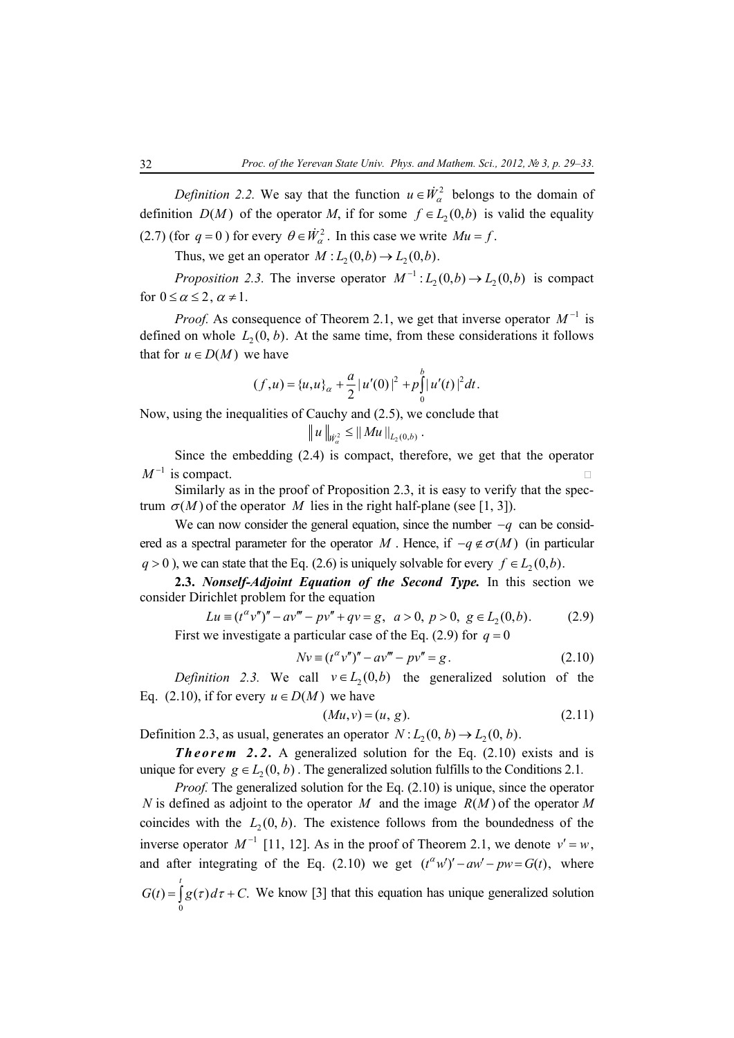*Definition 2.2.* We say that the function  $u \in \dot{W}^2$  belongs to the domain of definition  $D(M)$  of the operator *M*, if for some  $f \in L_2(0,b)$  is valid the equality (2.7) (for  $q = 0$ ) for every  $\theta \in \dot{W}_\alpha^2$ . In this case we write  $Mu = f$ .

Thus, we get an operator  $M : L_2(0,b) \to L_2(0,b)$ .

*Proposition 2.3.* The inverse operator  $M^{-1}$ :  $L_2(0,b) \rightarrow L_2(0,b)$  is compact for  $0 \leq \alpha \leq 2$ ,  $\alpha \neq 1$ .

*Proof.* As consequence of Theorem 2.1, we get that inverse operator  $M^{-1}$  is defined on whole  $L_2(0, b)$ . At the same time, from these considerations it follows that for  $u \in D(M)$  we have

$$
(f, u) = \{u, u\}_{\alpha} + \frac{a}{2} |u'(0)|^2 + p \int_0^b |u'(t)|^2 dt.
$$

Now, using the inequalities of Cauchy and (2.5), we conclude that

$$
||u||_{W^2_{\alpha}} \leq ||Mu||_{L_2(0,b)}.
$$

Since the embedding (2.4) is compact, therefore, we get that the operator  $M^{-1}$  is compact.

Similarly as in the proof of Proposition 2.3, it is easy to verify that the spectrum  $\sigma(M)$  of the operator *M* lies in the right half-plane (see [1, 3]).

We can now consider the general equation, since the number −*q* can be considered as a spectral parameter for the operator *M*. Hence, if  $-q \notin \sigma(M)$  (in particular  $q > 0$ ), we can state that the Eq. (2.6) is uniquely solvable for every  $f \in L_2(0,b)$ .

**2.3.** *Nonself-Adjoint Equation of the Second Type.* In this section we consider Dirichlet problem for the equation

$$
Lu \equiv (t^{\alpha}v'')'' - av''' - pv'' + qv = g, \ a > 0, \ p > 0, \ g \in L_2(0, b).
$$
 (2.9)  
First we investigate a particular case of the Eq. (2.9) for  $q = 0$ 

$$
Nv \equiv (t^{\alpha}v'')'' - av''' - pv'' = g.
$$
 (2.10)

*Definition 2.3.* We call  $v \in L_2(0,b)$  the generalized solution of the Eq. (2.10), if for every  $u \in D(M)$  we have

$$
(Mu, v) = (u, g). \tag{2.11}
$$

Definition 2.3, as usual, generates an operator  $N : L_2(0, b) \rightarrow L_2(0, b)$ .

**Theorem 2.2.** A generalized solution for the Eq. (2.10) exists and is unique for every  $g \in L_2(0, b)$ . The generalized solution fulfills to the Conditions 2.1.

*Proof.* The generalized solution for the Eq. (2.10) is unique, since the operator *N* is defined as adjoint to the operator *M* and the image  $R(M)$  of the operator *M* coincides with the  $L_2(0, b)$ . The existence follows from the boundedness of the inverse operator  $M^{-1}$  [11, 12]. As in the proof of Theorem 2.1, we denote  $v' = w$ , and after integrating of the Eq. (2.10) we get  $(t^{\alpha}w')' - aw' - pw = G(t)$ , where *t*

$$
G(t) = \int_{0}^{t} g(\tau) d\tau + C.
$$
 We know [3] that this equation has unique generalized solution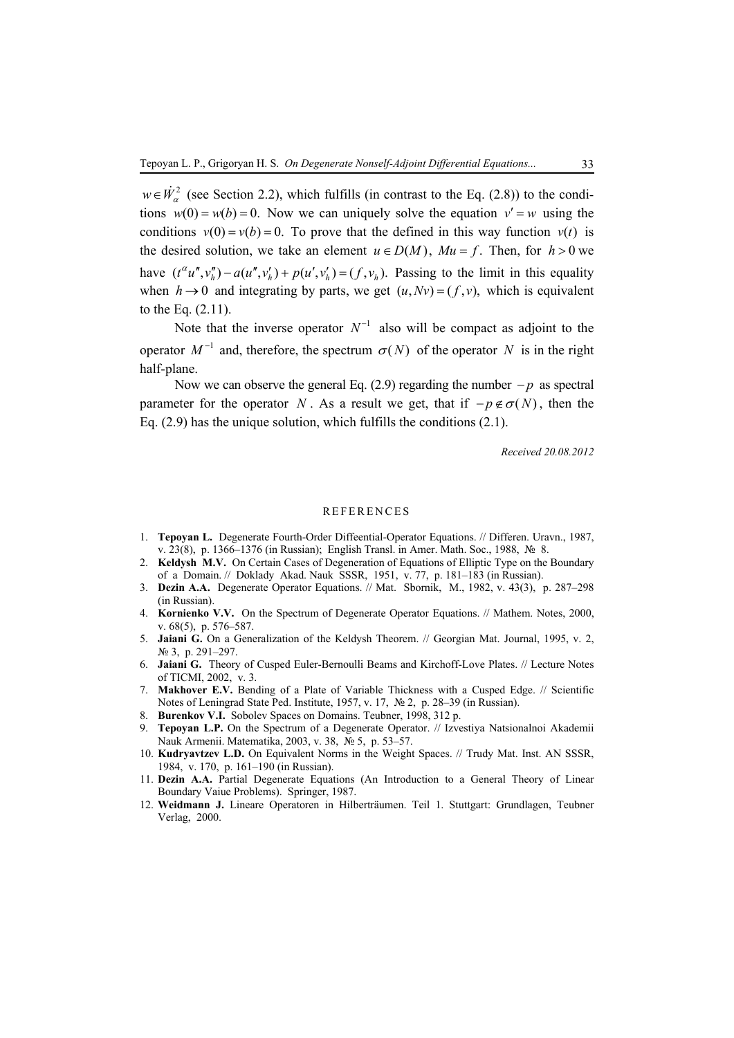$w \in \dot{W}_{\alpha}^2$  (see Section 2.2), which fulfills (in contrast to the Eq. (2.8)) to the conditions  $w(0) = w(b) = 0$ . Now we can uniquely solve the equation  $v' = w$  using the conditions  $v(0) = v(b) = 0$ . To prove that the defined in this way function  $v(t)$  is the desired solution, we take an element  $u \in D(M)$ ,  $Mu = f$ . Then, for  $h > 0$  we have  $(t^{\alpha}u'', v''_h) - a(u'', v'_h) + p(u', v'_h) = (f, v_h)$ . Passing to the limit in this equality when  $h \to 0$  and integrating by parts, we get  $(u, Nv) = (f, v)$ , which is equivalent to the Eq. (2.11).

Note that the inverse operator  $N^{-1}$  also will be compact as adjoint to the operator  $M^{-1}$  and, therefore, the spectrum  $\sigma(N)$  of the operator *N* is in the right half-plane.

Now we can observe the general Eq. (2.9) regarding the number − *p* as spectral parameter for the operator *N*. As a result we get, that if  $-p \notin \sigma(N)$ , then the Eq. (2.9) has the unique solution, which fulfills the conditions (2.1).

*Received 20.08.2012* 

#### REFERENCES

- 1. **Tepoyan L.** Degenerate Fourth-Order Diffeential-Operator Equations. // Differen. Uravn., 1987, v. 23(8), p. 1366–1376 (in Russian); English Transl. in Amer. Math. Soc., 1988, № 8.
- 2. **Keldysh M.V.** On Certain Cases of Degeneration of Equations of Elliptic Type on the Boundary of a Domain. // Doklady Akad. Nauk SSSR, 1951, v. 77, p. 181–183 (in Russian).
- 3. **Dezin A.A.** Degenerate Operator Equations. // Mat. Sbornik, M., 1982, v. 43(3), p. 287–298 (in Russian).
- 4. **Kornienko V.V.** On the Spectrum of Degenerate Operator Equations. // Mathem. Notes, 2000, v. 68(5), p. 576–587.
- 5. **Jaiani G.** On a Generalization of the Keldysh Theorem. // Georgian Mat. Journal, 1995, v. 2, № 3, p. 291–297.
- 6. **Jaiani G.** Theory of Cusped Euler-Bernoulli Beams and Kirchoff-Love Plates. // Lecture Notes of TICMI, 2002, v. 3.
- 7. **Makhover E.V.** Bending of a Plate of Variable Thickness with a Cusped Edge. // Scientific Notes of Leningrad State Ped. Institute, 1957, v. 17, № 2, p. 28–39 (in Russian).
- 8. **Burenkov V.I.** Sobolev Spaces on Domains. Teubner, 1998, 312 p.
- 9. **Tepoyan L.P.** On the Spectrum of a Degenerate Operator. // Izvestiya Natsionalnoi Akademii Nauk Armenii. Matematika, 2003, v. 38, № 5, p. 53–57.
- 10. **Kudryavtzev L.D.** On Equivalent Norms in the Weight Spaces. // Trudy Mat. Inst. AN SSSR, 1984, v. 170, p. 161–190 (in Russian).
- 11. **Dezin A.A.** Partial Degenerate Equations (An Introduction to a General Theory of Linear Boundary Vaiue Problems). Springer, 1987.
- 12. **Weidmann J.** Lineare Operatoren in Hilberträumen. Teil 1. Stuttgart: Grundlagen, Teubner Verlag, 2000.